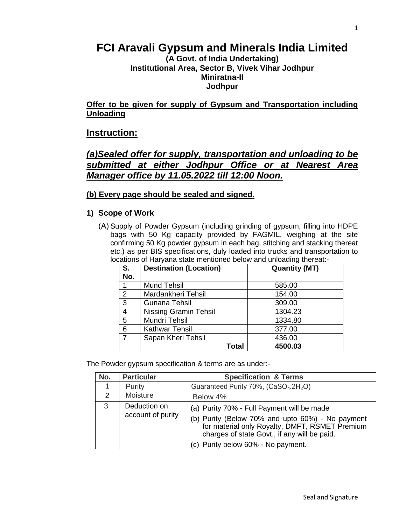# **FCI Aravali Gypsum and Minerals India Limited**

#### **(A Govt. of India Undertaking) Institutional Area, Sector B, Vivek Vihar Jodhpur Miniratna-II Jodhpur**

**Offer to be given for supply of Gypsum and Transportation including Unloading**

#### **Instruction:**

### *(a)Sealed offer for supply, transportation and unloading to be submitted at either Jodhpur Office or at Nearest Area Manager office by 11.05.2022 till 12:00 Noon.*

#### **(b) Every page should be sealed and signed.**

#### **1) Scope of Work**

(A) Supply of Powder Gypsum (including grinding of gypsum, filling into HDPE bags with 50 Kg capacity provided by FAGMIL, weighing at the site confirming 50 Kg powder gypsum in each bag, stitching and stacking thereat etc.) as per BIS specifications, duly loaded into trucks and transportation to locations of Haryana state mentioned below and unloading thereat:-

| $S$ .          | <b>Destination (Location)</b> | <b>Quantity (MT)</b> |  |  |
|----------------|-------------------------------|----------------------|--|--|
| No.            |                               |                      |  |  |
|                | <b>Mund Tehsil</b>            | 585.00               |  |  |
| 2              | Mardankheri Tehsil            | 154.00               |  |  |
| 3              | <b>Gunana Tehsil</b>          | 309.00               |  |  |
| 4              | <b>Nissing Gramin Tehsil</b>  | 1304.23              |  |  |
| 5              | Mundri Tehsil                 | 1334.80              |  |  |
| 6              | <b>Kathwar Tehsil</b>         | 377.00               |  |  |
| $\overline{7}$ | Sapan Kheri Tehsil            | 436.00               |  |  |
|                | <b>Total</b>                  | 4500.03              |  |  |

The Powder gypsum specification & terms are as under:-

| No.           | <b>Particular</b> | <b>Specification &amp; Terms</b>                                                                                                                   |
|---------------|-------------------|----------------------------------------------------------------------------------------------------------------------------------------------------|
|               | Purity            | Guaranteed Purity 70%, (CaSO <sub>4</sub> .2H <sub>2</sub> O)                                                                                      |
| $\mathcal{P}$ | Moisture          | Below 4%                                                                                                                                           |
| 3             | Deduction on      | (a) Purity 70% - Full Payment will be made                                                                                                         |
|               | account of purity | (b) Purity (Below 70% and upto 60%) - No payment<br>for material only Royalty, DMFT, RSMET Premium<br>charges of state Govt., if any will be paid. |
|               |                   | (c) Purity below 60% - No payment.                                                                                                                 |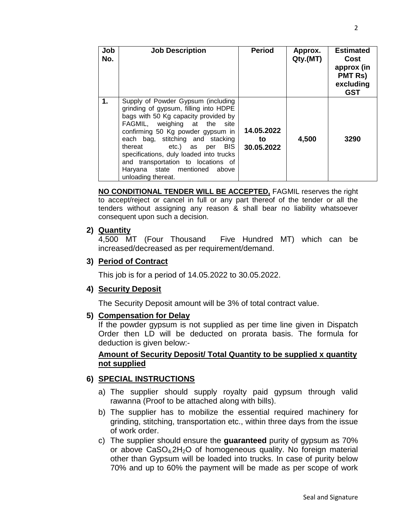| Job<br>No. | <b>Job Description</b>                                                                                                                                                                                                                                                                                                                                                                                 | <b>Period</b>                  | Approx.<br>Qty.(MT) | <b>Estimated</b><br>Cost<br>approx (in<br><b>PMT Rs)</b><br>excluding<br><b>GST</b> |
|------------|--------------------------------------------------------------------------------------------------------------------------------------------------------------------------------------------------------------------------------------------------------------------------------------------------------------------------------------------------------------------------------------------------------|--------------------------------|---------------------|-------------------------------------------------------------------------------------|
| 1.         | Supply of Powder Gypsum (including<br>grinding of gypsum, filling into HDPE<br>bags with 50 Kg capacity provided by<br>FAGMIL, weighing at the<br>site<br>confirming 50 Kg powder gypsum in<br>each bag, stitching and stacking<br>thereat etc.) as per BIS<br>specifications, duly loaded into trucks<br>and transportation to locations of<br>Haryana state mentioned<br>above<br>unloading thereat. | 14.05.2022<br>to<br>30.05.2022 | 4,500               | 3290                                                                                |

**NO CONDITIONAL TENDER WILL BE ACCEPTED,** FAGMIL reserves the right to accept/reject or cancel in full or any part thereof of the tender or all the tenders without assigning any reason & shall bear no liability whatsoever consequent upon such a decision.

#### **2) Quantity**

4,500 MT (Four Thousand Five Hundred MT) which can be increased/decreased as per requirement/demand.

#### **3) Period of Contract**

This job is for a period of 14.05.2022 to 30.05.2022.

#### **4) Security Deposit**

The Security Deposit amount will be 3% of total contract value.

#### **5) Compensation for Delay**

If the powder gypsum is not supplied as per time line given in Dispatch Order then LD will be deducted on prorata basis. The formula for deduction is given below:-

#### **Amount of Security Deposit/ Total Quantity to be supplied x quantity not supplied**

#### **6) SPECIAL INSTRUCTIONS**

- a) The supplier should supply royalty paid gypsum through valid rawanna (Proof to be attached along with bills).
- b) The supplier has to mobilize the essential required machinery for grinding, stitching, transportation etc., within three days from the issue of work order.
- c) The supplier should ensure the **guaranteed** purity of gypsum as 70% or above  $CaSO<sub>4</sub>2H<sub>2</sub>O$  of homogeneous quality. No foreign material other than Gypsum will be loaded into trucks. In case of purity below 70% and up to 60% the payment will be made as per scope of work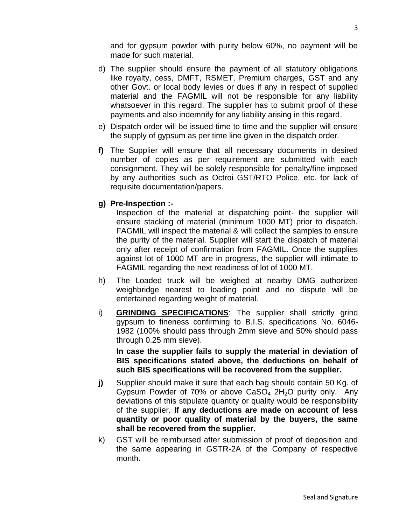and for gypsum powder with purity below 60%, no payment will be made for such material.

- d) The supplier should ensure the payment of all statutory obligations like royalty, cess, DMFT, RSMET, Premium charges, GST and any other Govt. or local body levies or dues if any in respect of supplied material and the FAGMIL will not be responsible for any liability whatsoever in this regard. The supplier has to submit proof of these payments and also indemnify for any liability arising in this regard.
- e) Dispatch order will be issued time to time and the supplier will ensure the supply of gypsum as per time line given in the dispatch order.
- **f)** The Supplier will ensure that all necessary documents in desired number of copies as per requirement are submitted with each consignment. They will be solely responsible for penalty/fine imposed by any authorities such as Octroi GST/RTO Police, etc. for lack of requisite documentation/papers.
- **g) Pre-Inspection :-**

Inspection of the material at dispatching point- the supplier will ensure stacking of material (minimum 1000 MT) prior to dispatch. FAGMIL will inspect the material & will collect the samples to ensure the purity of the material. Supplier will start the dispatch of material only after receipt of confirmation from FAGMIL. Once the supplies against lot of 1000 MT are in progress, the supplier will intimate to FAGMIL regarding the next readiness of lot of 1000 MT.

- h) The Loaded truck will be weighed at nearby DMG authorized weighbridge nearest to loading point and no dispute will be entertained regarding weight of material.
- i) **GRINDING SPECIFICATIONS**: The supplier shall strictly grind gypsum to fineness confirming to B.I.S. specifications No. 6046- 1982 (100% should pass through 2mm sieve and 50% should pass through 0.25 mm sieve).

**In case the supplier fails to supply the material in deviation of BIS specifications stated above, the deductions on behalf of such BIS specifications will be recovered from the supplier.** 

- **j)** Supplier should make it sure that each bag should contain 50 Kg. of Gypsum Powder of 70% or above  $CaSO<sub>4</sub> 2H<sub>2</sub>O$  purity only. Any deviations of this stipulate quantity or quality would be responsibility of the supplier. **If any deductions are made on account of less quantity or poor quality of material by the buyers, the same shall be recovered from the supplier.**
- k) GST will be reimbursed after submission of proof of deposition and the same appearing in GSTR-2A of the Company of respective month.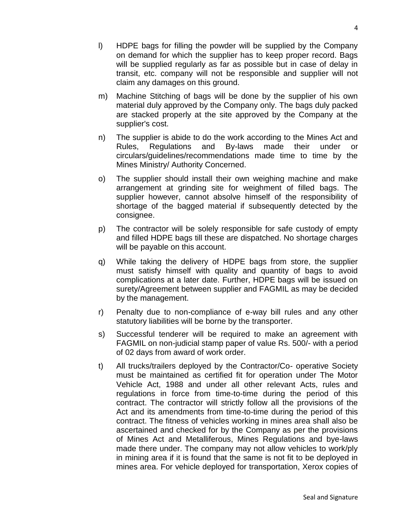- m) Machine Stitching of bags will be done by the supplier of his own material duly approved by the Company only. The bags duly packed are stacked properly at the site approved by the Company at the supplier's cost.
- n) The supplier is abide to do the work according to the Mines Act and Rules, Regulations and By-laws made their under or circulars/guidelines/recommendations made time to time by the Mines Ministry/ Authority Concerned.
- o) The supplier should install their own weighing machine and make arrangement at grinding site for weighment of filled bags. The supplier however, cannot absolve himself of the responsibility of shortage of the bagged material if subsequently detected by the consignee.
- p) The contractor will be solely responsible for safe custody of empty and filled HDPE bags till these are dispatched. No shortage charges will be payable on this account.
- q) While taking the delivery of HDPE bags from store, the supplier must satisfy himself with quality and quantity of bags to avoid complications at a later date. Further, HDPE bags will be issued on surety/Agreement between supplier and FAGMIL as may be decided by the management.
- r) Penalty due to non-compliance of e-way bill rules and any other statutory liabilities will be borne by the transporter.
- s) Successful tenderer will be required to make an agreement with FAGMIL on non-judicial stamp paper of value Rs. 500/- with a period of 02 days from award of work order.
- t) All trucks/trailers deployed by the Contractor/Co- operative Society must be maintained as certified fit for operation under The Motor Vehicle Act, 1988 and under all other relevant Acts, rules and regulations in force from time-to-time during the period of this contract. The contractor will strictly follow all the provisions of the Act and its amendments from time-to-time during the period of this contract. The fitness of vehicles working in mines area shall also be ascertained and checked for by the Company as per the provisions of Mines Act and Metalliferous, Mines Regulations and bye-laws made there under. The company may not allow vehicles to work/ply in mining area if it is found that the same is not fit to be deployed in mines area. For vehicle deployed for transportation, Xerox copies of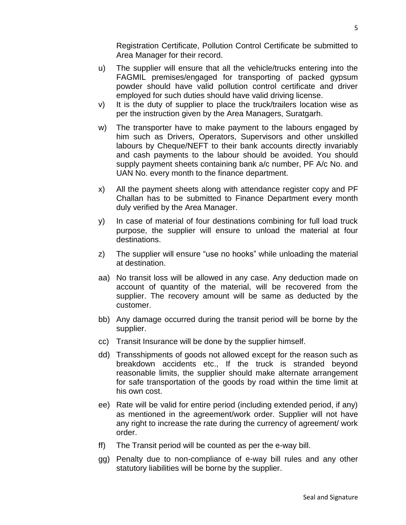Registration Certificate, Pollution Control Certificate be submitted to Area Manager for their record.

- u) The supplier will ensure that all the vehicle/trucks entering into the FAGMIL premises/engaged for transporting of packed gypsum powder should have valid pollution control certificate and driver employed for such duties should have valid driving license.
- v) It is the duty of supplier to place the truck/trailers location wise as per the instruction given by the Area Managers, Suratgarh.
- w) The transporter have to make payment to the labours engaged by him such as Drivers, Operators, Supervisors and other unskilled labours by Cheque/NEFT to their bank accounts directly invariably and cash payments to the labour should be avoided. You should supply payment sheets containing bank a/c number, PF A/c No. and UAN No. every month to the finance department.
- x) All the payment sheets along with attendance register copy and PF Challan has to be submitted to Finance Department every month duly verified by the Area Manager.
- y) In case of material of four destinations combining for full load truck purpose, the supplier will ensure to unload the material at four destinations.
- z) The supplier will ensure "use no hooks" while unloading the material at destination.
- aa) No transit loss will be allowed in any case. Any deduction made on account of quantity of the material, will be recovered from the supplier. The recovery amount will be same as deducted by the customer.
- bb) Any damage occurred during the transit period will be borne by the supplier.
- cc) Transit Insurance will be done by the supplier himself.
- dd) Transshipments of goods not allowed except for the reason such as breakdown accidents etc., If the truck is stranded beyond reasonable limits, the supplier should make alternate arrangement for safe transportation of the goods by road within the time limit at his own cost.
- ee) Rate will be valid for entire period (including extended period, if any) as mentioned in the agreement/work order. Supplier will not have any right to increase the rate during the currency of agreement/ work order.
- ff) The Transit period will be counted as per the e-way bill.
- gg) Penalty due to non-compliance of e-way bill rules and any other statutory liabilities will be borne by the supplier.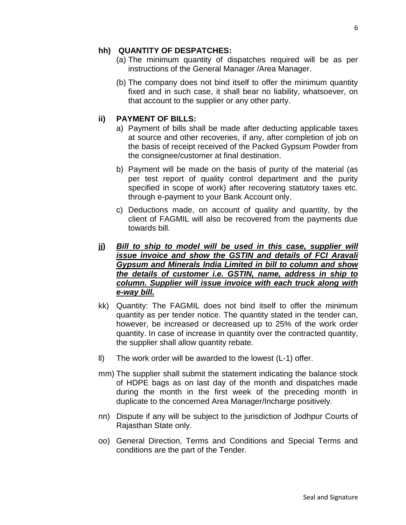#### **hh) QUANTITY OF DESPATCHES:**

- (a) The minimum quantity of dispatches required will be as per instructions of the General Manager /Area Manager.
- (b) The company does not bind itself to offer the minimum quantity fixed and in such case, it shall bear no liability, whatsoever, on that account to the supplier or any other party.

#### **ii) PAYMENT OF BILLS:**

- a) Payment of bills shall be made after deducting applicable taxes at source and other recoveries, if any, after completion of job on the basis of receipt received of the Packed Gypsum Powder from the consignee/customer at final destination.
- b) Payment will be made on the basis of purity of the material (as per test report of quality control department and the purity specified in scope of work) after recovering statutory taxes etc. through e-payment to your Bank Account only.
- c) Deductions made, on account of quality and quantity, by the client of FAGMIL will also be recovered from the payments due towards bill.
- **jj)** *Bill to ship to model will be used in this case, supplier will issue invoice and show the GSTIN and details of FCI Aravali Gypsum and Minerals India Limited in bill to column and show the details of customer i.e. GSTIN, name, address in ship to column. Supplier will issue invoice with each truck along with e-way bill.*
- kk) Quantity: The FAGMIL does not bind itself to offer the minimum quantity as per tender notice. The quantity stated in the tender can, however, be increased or decreased up to 25% of the work order quantity. In case of increase in quantity over the contracted quantity, the supplier shall allow quantity rebate.
- ll) The work order will be awarded to the lowest (L-1) offer.
- mm) The supplier shall submit the statement indicating the balance stock of HDPE bags as on last day of the month and dispatches made during the month in the first week of the preceding month in duplicate to the concerned Area Manager/Incharge positively.
- nn) Dispute if any will be subject to the jurisdiction of Jodhpur Courts of Rajasthan State only.
- oo) General Direction, Terms and Conditions and Special Terms and conditions are the part of the Tender.